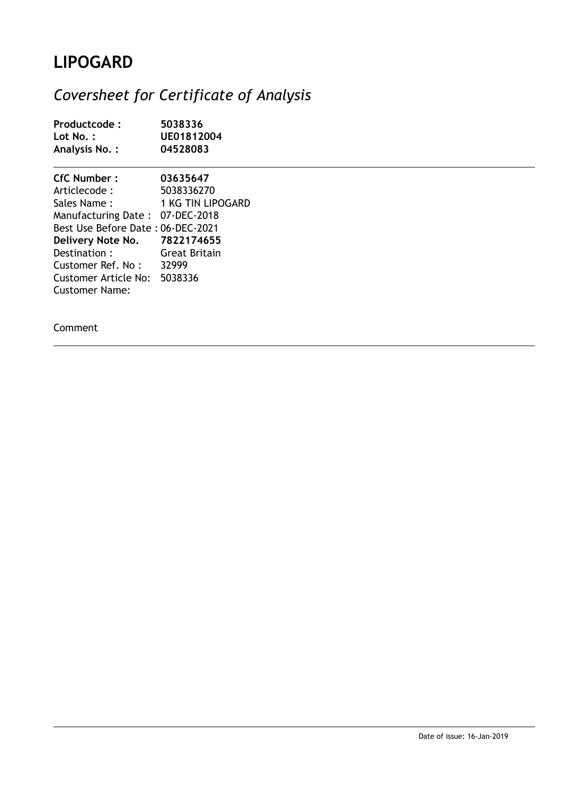## **LIPOGARD**

## *Coversheet for Certificate of Analysis*

| Productcode:                                                                                                                                                                                                                          | 5038336                                                                                               |
|---------------------------------------------------------------------------------------------------------------------------------------------------------------------------------------------------------------------------------------|-------------------------------------------------------------------------------------------------------|
| Lot No.:                                                                                                                                                                                                                              | UE01812004                                                                                            |
| Analysis No.:                                                                                                                                                                                                                         | 04528083                                                                                              |
| <b>CfC Number:</b><br>Articlecode :<br>Sales Name:<br>Manufacturing Date: 07-DEC-2018<br>Best Use Before Date: 06-DEC-2021<br>Delivery Note No.<br>Destination:<br>Customer Ref. No:<br>Customer Article No:<br><b>Customer Name:</b> | 03635647<br>5038336270<br>1 KG TIN LIPOGARD<br>7822174655<br><b>Great Britain</b><br>32999<br>5038336 |

Comment